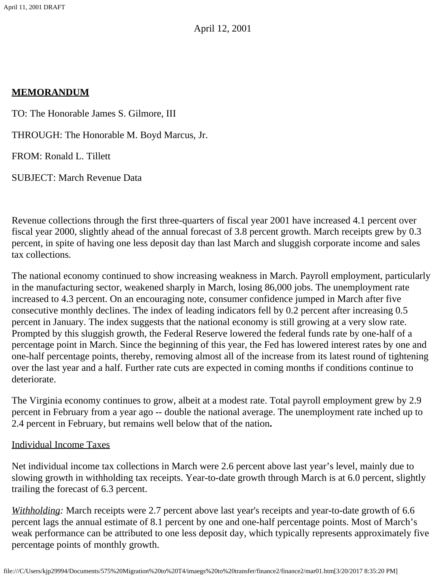# **MEMORANDUM**

TO: The Honorable James S. Gilmore, III

THROUGH: The Honorable M. Boyd Marcus, Jr.

FROM: Ronald L. Tillett

SUBJECT: March Revenue Data

Revenue collections through the first three-quarters of fiscal year 2001 have increased 4.1 percent over fiscal year 2000, slightly ahead of the annual forecast of 3.8 percent growth. March receipts grew by 0.3 percent, in spite of having one less deposit day than last March and sluggish corporate income and sales tax collections.

The national economy continued to show increasing weakness in March. Payroll employment, particularly in the manufacturing sector, weakened sharply in March, losing 86,000 jobs. The unemployment rate increased to 4.3 percent. On an encouraging note, consumer confidence jumped in March after five consecutive monthly declines. The index of leading indicators fell by 0.2 percent after increasing 0.5 percent in January. The index suggests that the national economy is still growing at a very slow rate. Prompted by this sluggish growth, the Federal Reserve lowered the federal funds rate by one-half of a percentage point in March. Since the beginning of this year, the Fed has lowered interest rates by one and one-half percentage points, thereby, removing almost all of the increase from its latest round of tightening over the last year and a half. Further rate cuts are expected in coming months if conditions continue to deteriorate.

The Virginia economy continues to grow, albeit at a modest rate. Total payroll employment grew by 2.9 percent in February from a year ago -- double the national average. The unemployment rate inched up to 2.4 percent in February, but remains well below that of the nation**.**

## Individual Income Taxes

Net individual income tax collections in March were 2.6 percent above last year's level, mainly due to slowing growth in withholding tax receipts. Year-to-date growth through March is at 6.0 percent, slightly trailing the forecast of 6.3 percent.

*Withholding:* March receipts were 2.7 percent above last year's receipts and year-to-date growth of 6.6 percent lags the annual estimate of 8.1 percent by one and one-half percentage points. Most of March's weak performance can be attributed to one less deposit day, which typically represents approximately five percentage points of monthly growth.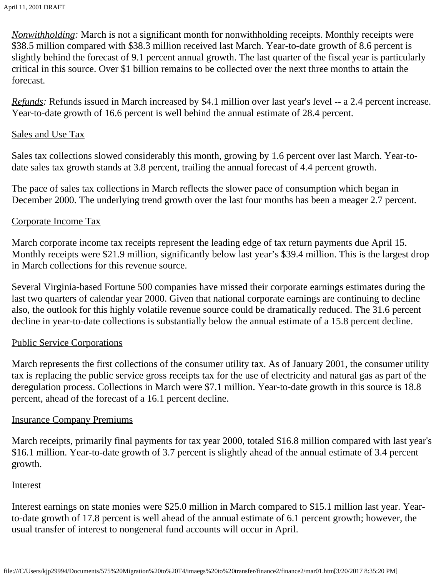*Nonwithholding:* March is not a significant month for nonwithholding receipts. Monthly receipts were \$38.5 million compared with \$38.3 million received last March. Year-to-date growth of 8.6 percent is slightly behind the forecast of 9.1 percent annual growth. The last quarter of the fiscal year is particularly critical in this source. Over \$1 billion remains to be collected over the next three months to attain the forecast.

*Refunds:* Refunds issued in March increased by \$4.1 million over last year's level -- a 2.4 percent increase. Year-to-date growth of 16.6 percent is well behind the annual estimate of 28.4 percent.

#### Sales and Use Tax

Sales tax collections slowed considerably this month, growing by 1.6 percent over last March. Year-todate sales tax growth stands at 3.8 percent, trailing the annual forecast of 4.4 percent growth.

The pace of sales tax collections in March reflects the slower pace of consumption which began in December 2000. The underlying trend growth over the last four months has been a meager 2.7 percent.

## Corporate Income Tax

March corporate income tax receipts represent the leading edge of tax return payments due April 15. Monthly receipts were \$21.9 million, significantly below last year's \$39.4 million. This is the largest drop in March collections for this revenue source.

Several Virginia-based Fortune 500 companies have missed their corporate earnings estimates during the last two quarters of calendar year 2000. Given that national corporate earnings are continuing to decline also, the outlook for this highly volatile revenue source could be dramatically reduced. The 31.6 percent decline in year-to-date collections is substantially below the annual estimate of a 15.8 percent decline.

## Public Service Corporations

March represents the first collections of the consumer utility tax. As of January 2001, the consumer utility tax is replacing the public service gross receipts tax for the use of electricity and natural gas as part of the deregulation process. Collections in March were \$7.1 million. Year-to-date growth in this source is 18.8 percent, ahead of the forecast of a 16.1 percent decline.

#### Insurance Company Premiums

March receipts, primarily final payments for tax year 2000, totaled \$16.8 million compared with last year's \$16.1 million. Year-to-date growth of 3.7 percent is slightly ahead of the annual estimate of 3.4 percent growth.

#### Interest

Interest earnings on state monies were \$25.0 million in March compared to \$15.1 million last year. Yearto-date growth of 17.8 percent is well ahead of the annual estimate of 6.1 percent growth; however, the usual transfer of interest to nongeneral fund accounts will occur in April.